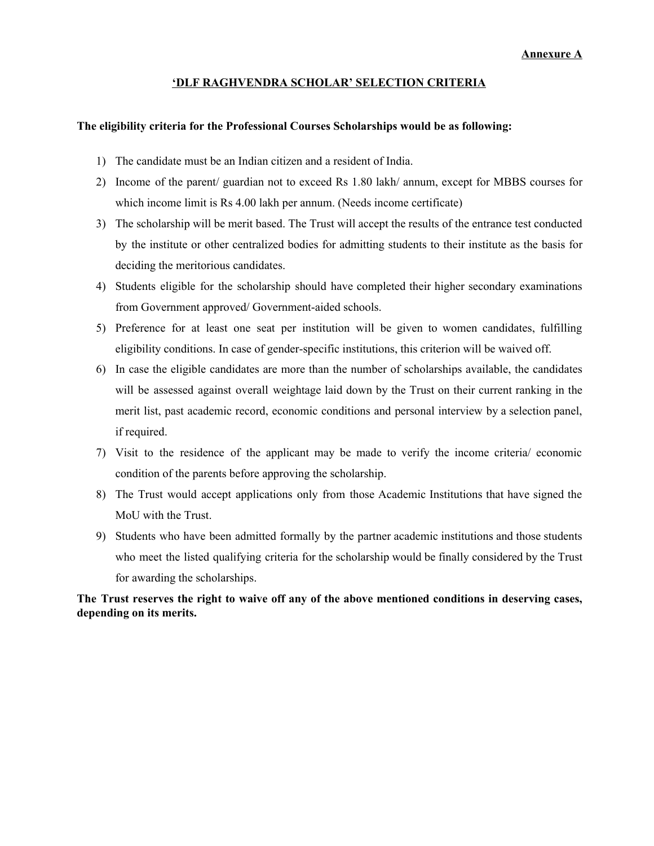#### **'DLF RAGHVENDRA SCHOLAR' SELECTION CRITERIA**

#### **The eligibility criteria for the Professional Courses Scholarships would be as following:**

- 1) The candidate must be an Indian citizen and a resident of India.
- 2) Income of the parent/ guardian not to exceed Rs 1.80 lakh/ annum, except for MBBS courses for which income limit is Rs 4.00 lakh per annum. (Needs income certificate)
- 3) The scholarship will be merit based. The Trust will accept the results of the entrance test conducted by the institute or other centralized bodies for admitting students to their institute as the basis for deciding the meritorious candidates.
- 4) Students eligible for the scholarship should have completed their higher secondary examinations from Government approved/ Government-aided schools.
- 5) Preference for at least one seat per institution will be given to women candidates, fulfilling eligibility conditions. In case of gender-specific institutions, this criterion will be waived off.
- 6) In case the eligible candidates are more than the number of scholarships available, the candidates will be assessed against overall weightage laid down by the Trust on their current ranking in the merit list, past academic record, economic conditions and personal interview by a selection panel, if required.
- 7) Visit to the residence of the applicant may be made to verify the income criteria/ economic condition of the parents before approving the scholarship.
- 8) The Trust would accept applications only from those Academic Institutions that have signed the MoU with the Trust.
- 9) Students who have been admitted formally by the partner academic institutions and those students who meet the listed qualifying criteria for the scholarship would be finally considered by the Trust for awarding the scholarships.

### **The Trust reserves the right to waive off any of the above mentioned conditions in deserving cases, depending on its merits.**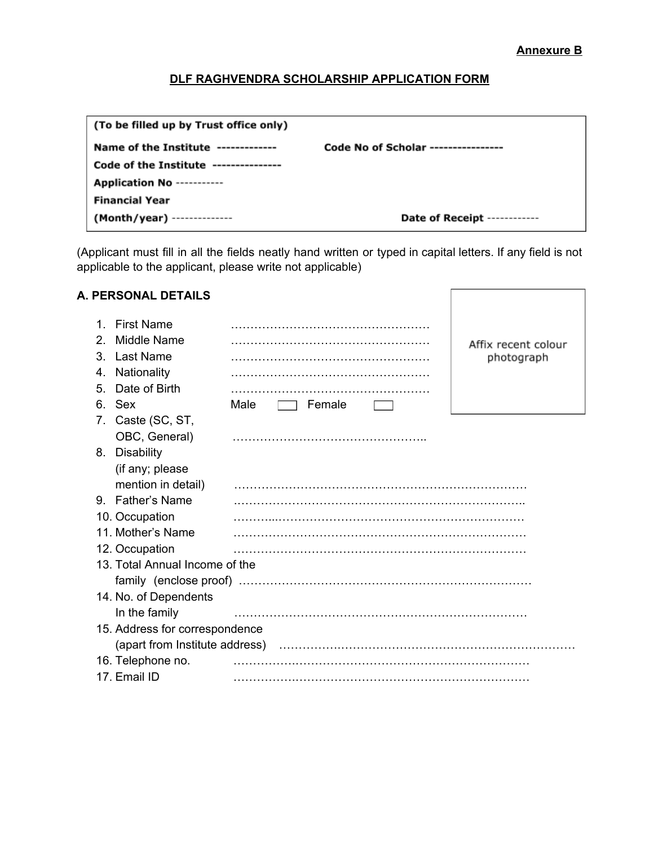#### **Annexure B**

# **DLF RAGHVENDRA SCHOLARSHIP APPLICATION FORM**

| (To be filled up by Trust office only) |                                     |
|----------------------------------------|-------------------------------------|
| Name of the Institute -------------    | Code No of Scholar ---------------- |
| Code of the Institute ---------------  |                                     |
| <b>Application No ----------</b>       |                                     |
| <b>Financial Year</b>                  |                                     |
| (Month/year) --------------            | Date of Receipt ------------        |

(Applicant must fill in all the fields neatly hand written or typed in capital letters. If any field is not applicable to the applicant, please write not applicable)

## **A. PERSONAL DETAILS**

| $2_{-}$ | 1. First Name<br>Middle Name<br>3. Last Name |                | Affix recent colour<br>photograph |  |  |  |
|---------|----------------------------------------------|----------------|-----------------------------------|--|--|--|
| 4.      | Nationality                                  |                |                                   |  |  |  |
| 5.      | Date of Birth                                |                |                                   |  |  |  |
| 6.      | Sex                                          | Male<br>Female |                                   |  |  |  |
|         | 7. Caste (SC, ST,                            |                |                                   |  |  |  |
|         | OBC, General)                                |                |                                   |  |  |  |
|         | 8. Disability                                |                |                                   |  |  |  |
|         | (if any; please                              |                |                                   |  |  |  |
|         | mention in detail)                           |                |                                   |  |  |  |
|         | 9. Father's Name                             |                |                                   |  |  |  |
|         | 10. Occupation                               |                |                                   |  |  |  |
|         | 11. Mother's Name                            |                |                                   |  |  |  |
|         | 12. Occupation                               |                |                                   |  |  |  |
|         | 13. Total Annual Income of the               |                |                                   |  |  |  |
|         |                                              |                |                                   |  |  |  |
|         | 14. No. of Dependents                        |                |                                   |  |  |  |
|         | In the family                                |                |                                   |  |  |  |
|         | 15. Address for correspondence               |                |                                   |  |  |  |
|         | (apart from Institute address)               |                |                                   |  |  |  |
|         | 16. Telephone no.                            |                |                                   |  |  |  |
|         | 17. Email ID                                 |                |                                   |  |  |  |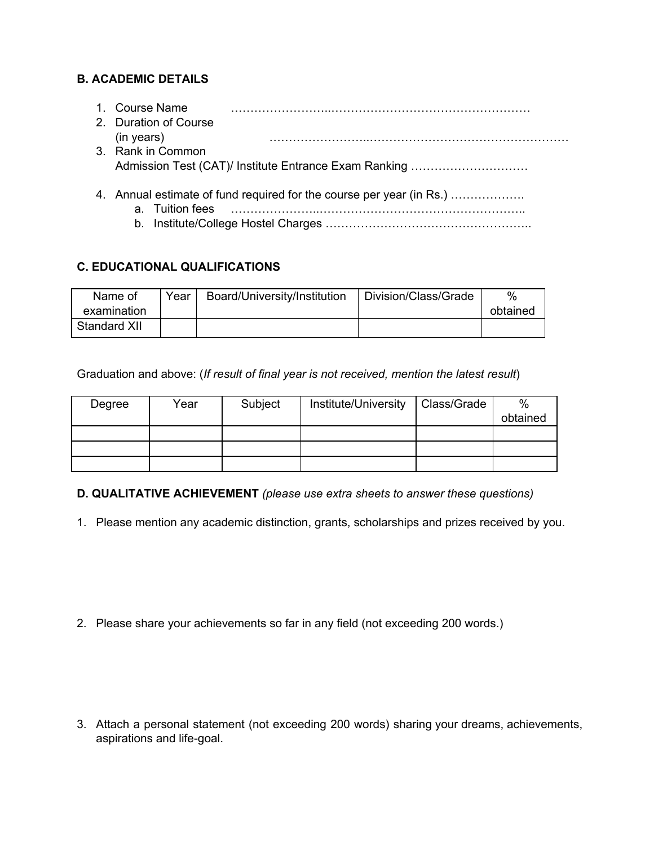# **B. ACADEMIC DETAILS**

| 1. Course Name<br>2. Duration of Course                              |
|----------------------------------------------------------------------|
| (in years)                                                           |
| 3. Rank in Common                                                    |
|                                                                      |
|                                                                      |
| 4. Annual estimate of fund required for the course per year (in Rs.) |
| a. Tuition fees                                                      |
|                                                                      |

# **C. EDUCATIONAL QUALIFICATIONS**

| Name of      | Year | Board/University/Institution | Division/Class/Grade | %        |
|--------------|------|------------------------------|----------------------|----------|
| examination  |      |                              |                      | obtained |
| Standard XII |      |                              |                      |          |

Graduation and above: (*If result of final year is not received, mention the latest result*)

| Degree | Year | Subject | Institute/University | Class/Grade | $\%$     |
|--------|------|---------|----------------------|-------------|----------|
|        |      |         |                      |             | obtained |
|        |      |         |                      |             |          |
|        |      |         |                      |             |          |
|        |      |         |                      |             |          |

**D. QUALITATIVE ACHIEVEMENT** *(please use extra sheets to answer these questions)*

1. Please mention any academic distinction, grants, scholarships and prizes received by you.

2. Please share your achievements so far in any field (not exceeding 200 words.)

3. Attach a personal statement (not exceeding 200 words) sharing your dreams, achievements, aspirations and life-goal.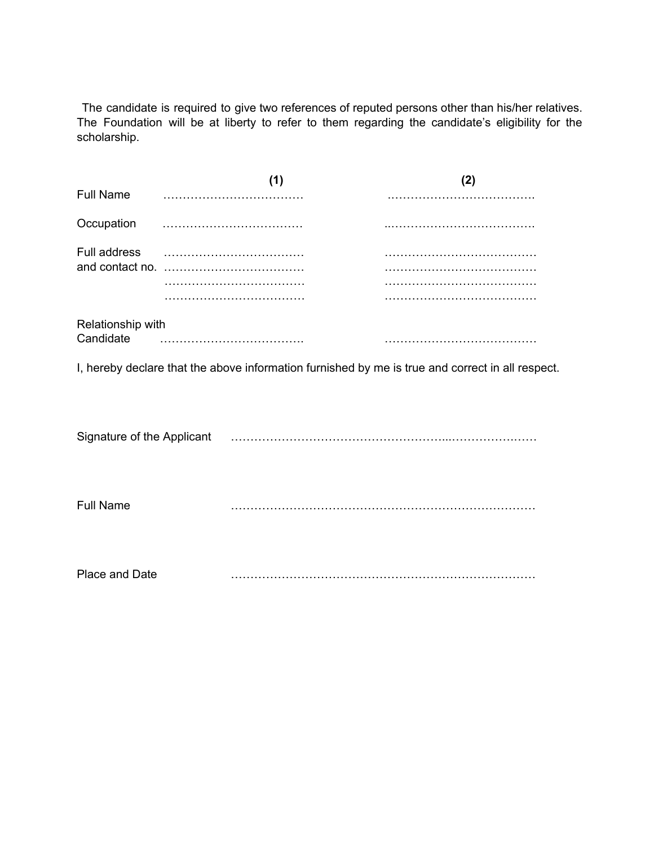The candidate is required to give two references of reputed persons other than his/her relatives. The Foundation will be at liberty to refer to them regarding the candidate's eligibility for the scholarship.

| <b>Full Name</b>               |  |
|--------------------------------|--|
| Occupation                     |  |
| Full address                   |  |
|                                |  |
|                                |  |
|                                |  |
| Relationship with<br>Candidate |  |
|                                |  |

I, hereby declare that the above information furnished by me is true and correct in all respect.

| Signature of the Applicant |   |
|----------------------------|---|
| <b>Full Name</b>           | . |
| Place and Date             | . |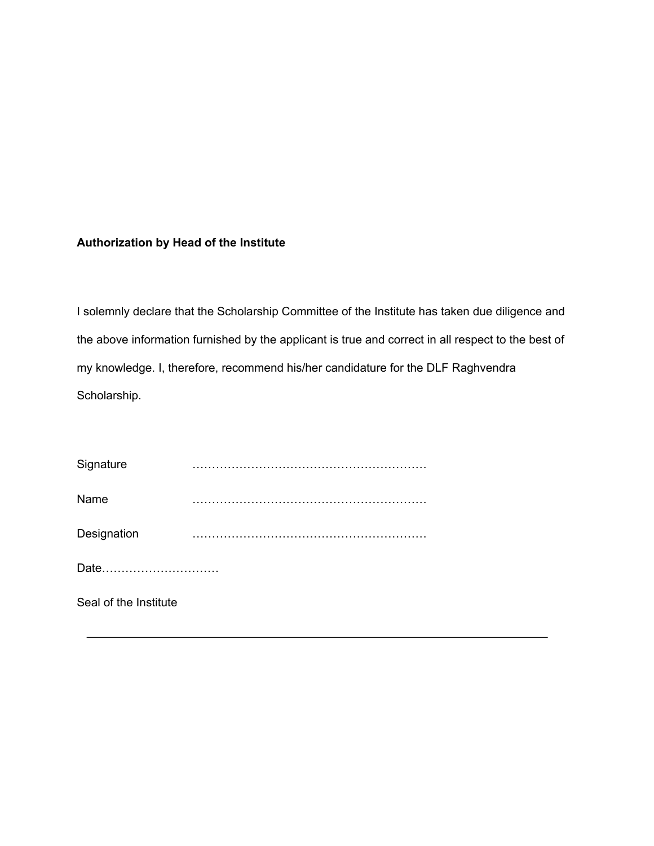# **Authorization by Head of the Institute**

I solemnly declare that the Scholarship Committee of the Institute has taken due diligence and the above information furnished by the applicant is true and correct in all respect to the best of my knowledge. I, therefore, recommend his/her candidature for the DLF Raghvendra Scholarship.

| Signature             |  |  |  |
|-----------------------|--|--|--|
| Name                  |  |  |  |
| Designation           |  |  |  |
| Date                  |  |  |  |
| Seal of the Institute |  |  |  |